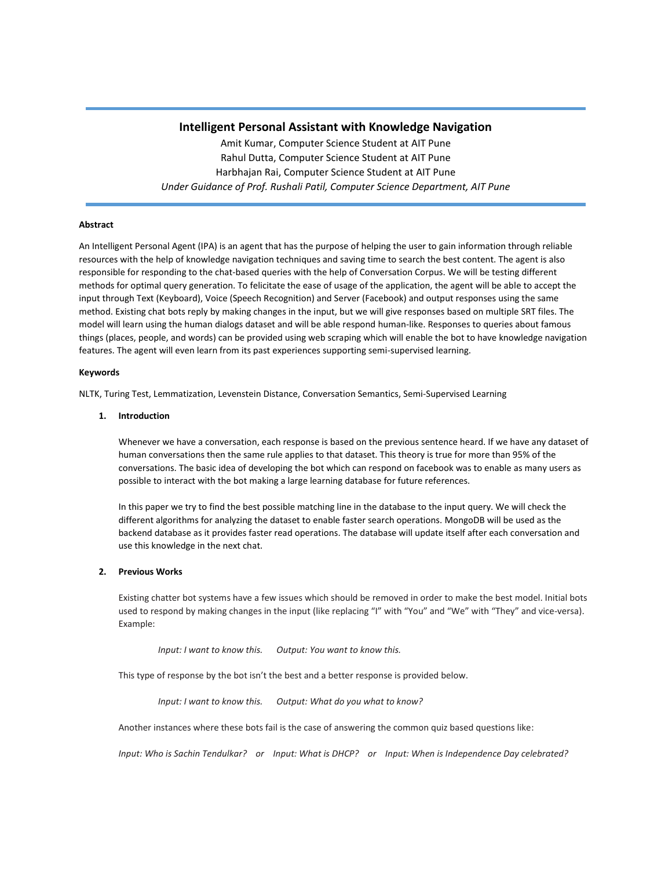# **Intelligent Personal Assistant with Knowledge Navigation**

Amit Kumar, Computer Science Student at AIT Pune Rahul Dutta, Computer Science Student at AIT Pune Harbhajan Rai, Computer Science Student at AIT Pune *Under Guidance of Prof. Rushali Patil, Computer Science Department, AIT Pune*

# **Abstract**

An Intelligent Personal Agent (IPA) is an agent that has the purpose of helping the user to gain information through reliable resources with the help of knowledge navigation techniques and saving time to search the best content. The agent is also responsible for responding to the chat-based queries with the help of Conversation Corpus. We will be testing different methods for optimal query generation. To felicitate the ease of usage of the application, the agent will be able to accept the input through Text (Keyboard), Voice (Speech Recognition) and Server (Facebook) and output responses using the same method. Existing chat bots reply by making changes in the input, but we will give responses based on multiple SRT files. The model will learn using the human dialogs dataset and will be able respond human-like. Responses to queries about famous things (places, people, and words) can be provided using web scraping which will enable the bot to have knowledge navigation features. The agent will even learn from its past experiences supporting semi-supervised learning.

#### **Keywords**

NLTK, Turing Test, Lemmatization, Levenstein Distance, Conversation Semantics, Semi-Supervised Learning

#### **1. Introduction**

Whenever we have a conversation, each response is based on the previous sentence heard. If we have any dataset of human conversations then the same rule applies to that dataset. This theory is true for more than 95% of the conversations. The basic idea of developing the bot which can respond on facebook was to enable as many users as possible to interact with the bot making a large learning database for future references.

In this paper we try to find the best possible matching line in the database to the input query. We will check the different algorithms for analyzing the dataset to enable faster search operations. MongoDB will be used as the backend database as it provides faster read operations. The database will update itself after each conversation and use this knowledge in the next chat.

#### **2. Previous Works**

Existing chatter bot systems have a few issues which should be removed in order to make the best model. Initial bots used to respond by making changes in the input (like replacing "I" with "You" and "We" with "They" and vice-versa). Example:

*Input: I want to know this. Output: You want to know this.*

This type of response by the bot isn't the best and a better response is provided below.

*Input: I want to know this. Output: What do you what to know?*

Another instances where these bots fail is the case of answering the common quiz based questions like:

*Input: Who is Sachin Tendulkar? or Input: What is DHCP? or Input: When is Independence Day celebrated?*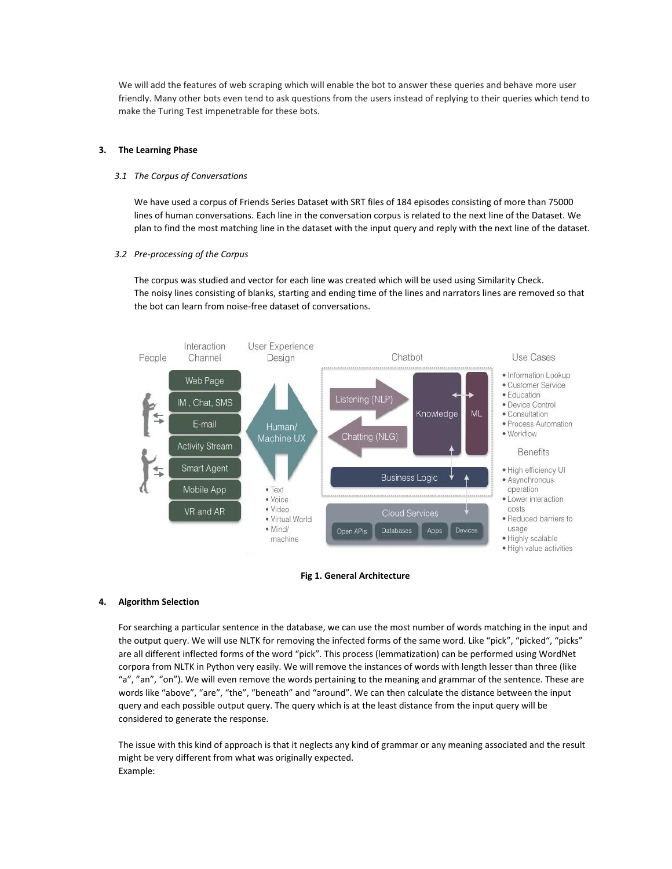We will add the features of web scraping which will enable the bot to answer these queries and behave more user friendly. Many other bots even tend to ask questions from the users instead of replying to their queries which tend to make the Turing Test impenetrable for these bots.

## **3. The Learning Phase**

## *3.1 The Corpus of Conversations*

We have used a corpus of Friends Series Dataset with SRT files of 184 episodes consisting of more than 75000 lines of human conversations. Each line in the conversation corpus is related to the next line of the Dataset. We plan to find the most matching line in the dataset with the input query and reply with the next line of the dataset.

# *3.2 Pre-processing of the Corpus*

The corpus was studied and vector for each line was created which will be used using Similarity Check. The noisy lines consisting of blanks, starting and ending time of the lines and narrators lines are removed so that the bot can learn from noise-free dataset of conversations.



**Fig 1. General Architecture**

## **4. Algorithm Selection**

For searching a particular sentence in the database, we can use the most number of words matching in the input and the output query. We will use NLTK for removing the infected forms of the same word. Like "pick", "picked", "picks" are all different inflected forms of the word "pick". This process (lemmatization) can be performed using WordNet corpora from NLTK in Python very easily. We will remove the instances of words with length lesser than three (like "a", "an", "on"). We will even remove the words pertaining to the meaning and grammar of the sentence. These are words like "above", "are", "the", "beneath" and "around". We can then calculate the distance between the input query and each possible output query. The query which is at the least distance from the input query will be considered to generate the response.

The issue with this kind of approach is that it neglects any kind of grammar or any meaning associated and the result might be very different from what was originally expected. Example: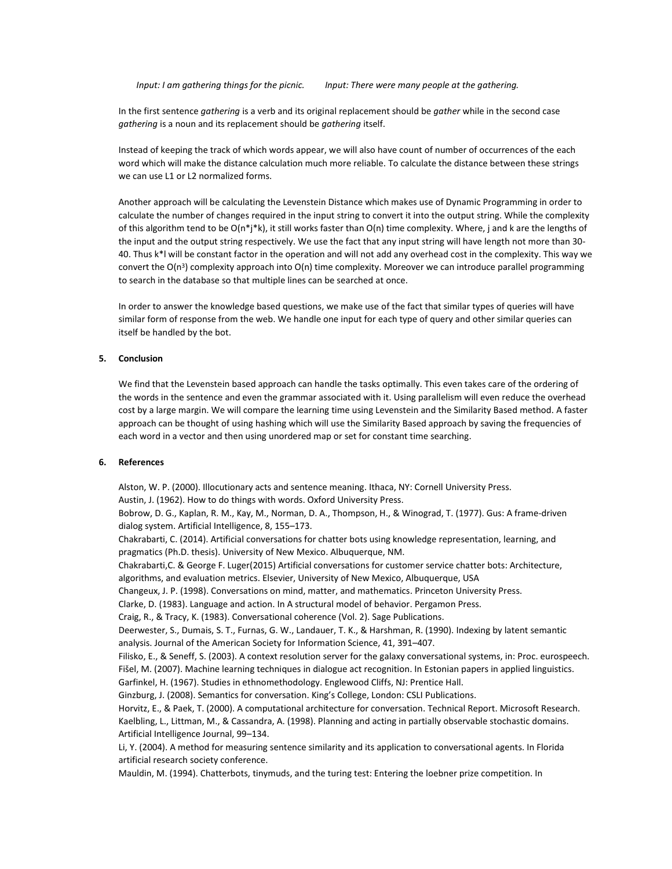*Input: I am gathering things for the picnic. Input: There were many people at the gathering.*

In the first sentence *gathering* is a verb and its original replacement should be *gather* while in the second case *gathering* is a noun and its replacement should be *gathering* itself.

Instead of keeping the track of which words appear, we will also have count of number of occurrences of the each word which will make the distance calculation much more reliable. To calculate the distance between these strings we can use L1 or L2 normalized forms.

Another approach will be calculating the Levenstein Distance which makes use of Dynamic Programming in order to calculate the number of changes required in the input string to convert it into the output string. While the complexity of this algorithm tend to be  $O(n^*j^*k)$ , it still works faster than  $O(n)$  time complexity. Where, j and k are the lengths of the input and the output string respectively. We use the fact that any input string will have length not more than 30- 40. Thus k\*l will be constant factor in the operation and will not add any overhead cost in the complexity. This way we convert the O(n<sup>3</sup>) complexity approach into O(n) time complexity. Moreover we can introduce parallel programming to search in the database so that multiple lines can be searched at once.

In order to answer the knowledge based questions, we make use of the fact that similar types of queries will have similar form of response from the web. We handle one input for each type of query and other similar queries can itself be handled by the bot.

# **5. Conclusion**

We find that the Levenstein based approach can handle the tasks optimally. This even takes care of the ordering of the words in the sentence and even the grammar associated with it. Using parallelism will even reduce the overhead cost by a large margin. We will compare the learning time using Levenstein and the Similarity Based method. A faster approach can be thought of using hashing which will use the Similarity Based approach by saving the frequencies of each word in a vector and then using unordered map or set for constant time searching.

#### **6. References**

Alston, W. P. (2000). Illocutionary acts and sentence meaning. Ithaca, NY: Cornell University Press.

Austin, J. (1962). How to do things with words. Oxford University Press.

Bobrow, D. G., Kaplan, R. M., Kay, M., Norman, D. A., Thompson, H., & Winograd, T. (1977). Gus: A frame-driven dialog system. Artificial Intelligence, 8, 155–173.

Chakrabarti, C. (2014). Artificial conversations for chatter bots using knowledge representation, learning, and pragmatics (Ph.D. thesis). University of New Mexico. Albuquerque, NM.

Chakrabarti,C. & George F. Luger(2015) Artificial conversations for customer service chatter bots: Architecture, algorithms, and evaluation metrics. Elsevier, University of New Mexico, Albuquerque, USA

Changeux, J. P. (1998). Conversations on mind, matter, and mathematics. Princeton University Press.

Clarke, D. (1983). Language and action. In A structural model of behavior. Pergamon Press.

Craig, R., & Tracy, K. (1983). Conversational coherence (Vol. 2). Sage Publications.

Deerwester, S., Dumais, S. T., Furnas, G. W., Landauer, T. K., & Harshman, R. (1990). Indexing by latent semantic analysis. Journal of the American Society for Information Science, 41, 391–407.

Filisko, E., & Seneff, S. (2003). A context resolution server for the galaxy conversational systems, in: Proc. eurospeech. Fišel, M. (2007). Machine learning techniques in dialogue act recognition. In Estonian papers in applied linguistics.

Garfinkel, H. (1967). Studies in ethnomethodology. Englewood Cliffs, NJ: Prentice Hall.

Ginzburg, J. (2008). Semantics for conversation. King's College, London: CSLI Publications.

Horvitz, E., & Paek, T. (2000). A computational architecture for conversation. Technical Report. Microsoft Research. Kaelbling, L., Littman, M., & Cassandra, A. (1998). Planning and acting in partially observable stochastic domains. Artificial Intelligence Journal, 99–134.

Li, Y. (2004). A method for measuring sentence similarity and its application to conversational agents. In Florida artificial research society conference.

Mauldin, M. (1994). Chatterbots, tinymuds, and the turing test: Entering the loebner prize competition. In